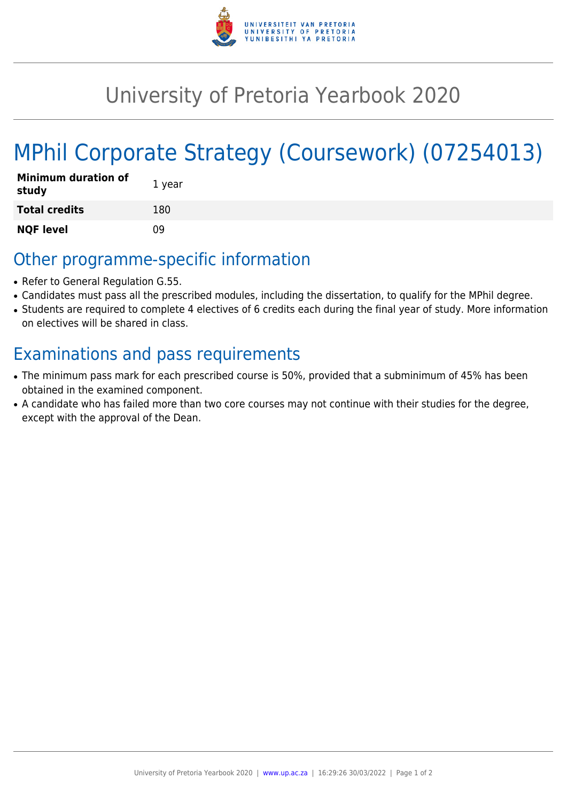

## University of Pretoria Yearbook 2020

# MPhil Corporate Strategy (Coursework) (07254013)

| <b>Minimum duration of</b><br>study | 1 year |
|-------------------------------------|--------|
| <b>Total credits</b>                | 180    |
| <b>NQF level</b>                    | 09     |

#### Other programme-specific information

- Refer to General Regulation G.55.
- Candidates must pass all the prescribed modules, including the dissertation, to qualify for the MPhil degree.
- Students are required to complete 4 electives of 6 credits each during the final year of study. More information on electives will be shared in class.

## Examinations and pass requirements

- The minimum pass mark for each prescribed course is 50%, provided that a subminimum of 45% has been obtained in the examined component.
- A candidate who has failed more than two core courses may not continue with their studies for the degree, except with the approval of the Dean.